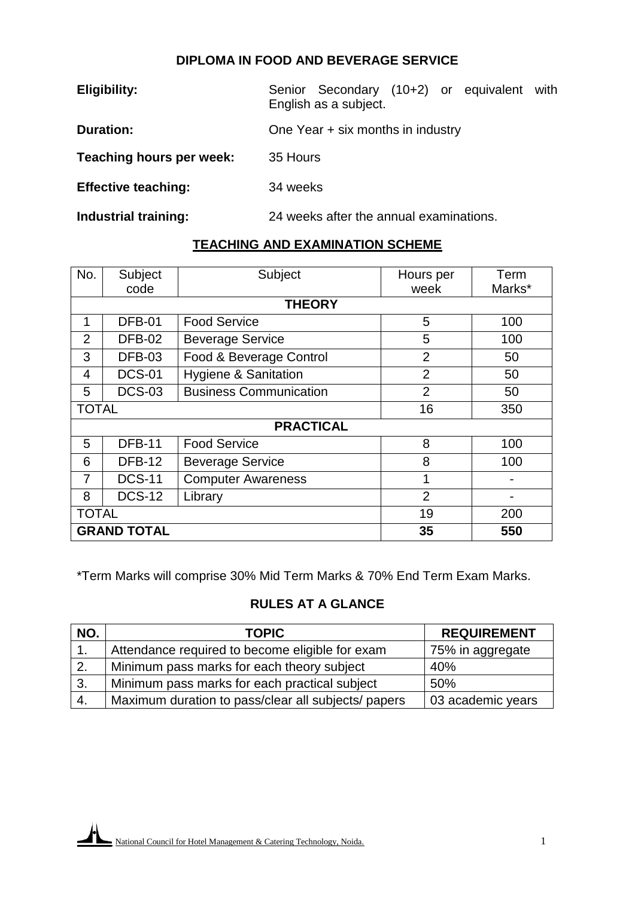## **DIPLOMA IN FOOD AND BEVERAGE SERVICE**

| <b>Eligibility:</b>        | Senior Secondary (10+2) or equivalent with<br>English as a subject. |
|----------------------------|---------------------------------------------------------------------|
| <b>Duration:</b>           | One Year + six months in industry                                   |
| Teaching hours per week:   | 35 Hours                                                            |
| <b>Effective teaching:</b> | 34 weeks                                                            |
| Industrial training:       | 24 weeks after the annual examinations.                             |

# **TEACHING AND EXAMINATION SCHEME**

| No.                       | Subject                         | Subject                         | Hours per      | Term   |
|---------------------------|---------------------------------|---------------------------------|----------------|--------|
|                           | code                            |                                 | week           | Marks* |
|                           |                                 | <b>THEORY</b>                   |                |        |
|                           | <b>DFB-01</b>                   | <b>Food Service</b>             | 5              | 100    |
| $\overline{2}$            | <b>DFB-02</b>                   | <b>Beverage Service</b>         | 5              | 100    |
| 3                         | <b>DFB-03</b>                   | Food & Beverage Control         | $\overline{2}$ | 50     |
| 4                         | <b>DCS-01</b>                   | <b>Hygiene &amp; Sanitation</b> | $\overline{2}$ | 50     |
| 5                         | <b>DCS-03</b>                   | <b>Business Communication</b>   | $\overline{2}$ | 50     |
| <b>TOTAL</b>              |                                 |                                 | 16             | 350    |
|                           |                                 | <b>PRACTICAL</b>                |                |        |
| 5                         | <b>DFB-11</b>                   | <b>Food Service</b>             | 8              | 100    |
| 6                         | <b>DFB-12</b>                   | <b>Beverage Service</b>         | 8              | 100    |
| 7                         | <b>DCS-11</b>                   | <b>Computer Awareness</b>       | 1              |        |
| 8                         | <b>DCS-12</b>                   | Library                         | $\overline{2}$ |        |
| <b>TOTAL</b><br>19<br>200 |                                 |                                 |                |        |
|                           | <b>GRAND TOTAL</b><br>35<br>550 |                                 |                |        |

\*Term Marks will comprise 30% Mid Term Marks & 70% End Term Exam Marks.

# **RULES AT A GLANCE**

| NO. | <b>TOPIC</b>                                        | <b>REQUIREMENT</b> |
|-----|-----------------------------------------------------|--------------------|
|     | Attendance required to become eligible for exam     | 75% in aggregate   |
| 2.  | Minimum pass marks for each theory subject          | 40%                |
| 3.  | Minimum pass marks for each practical subject       | 50%                |
| 4.  | Maximum duration to pass/clear all subjects/ papers | 03 academic years  |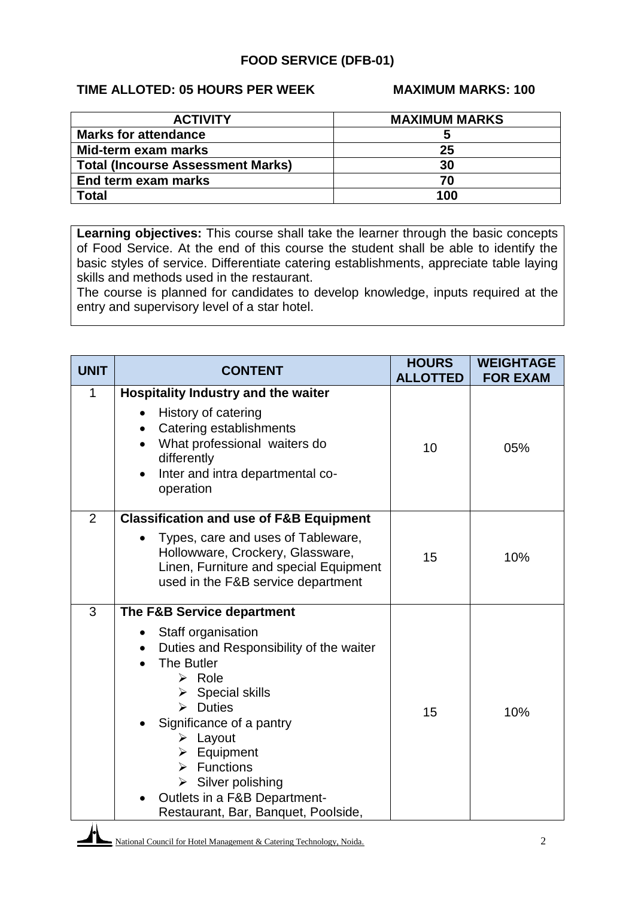### **FOOD SERVICE (DFB-01)**

## **TIME ALLOTED: 05 HOURS PER WEEK MAXIMUM MARKS: 100**

| <b>ACTIVITY</b>                          | <b>MAXIMUM MARKS</b> |
|------------------------------------------|----------------------|
| <b>Marks for attendance</b>              |                      |
| Mid-term exam marks                      | 25                   |
| <b>Total (Incourse Assessment Marks)</b> | 30                   |
| End term exam marks                      | 70                   |
| <b>Total</b>                             | 100                  |

**Learning objectives:** This course shall take the learner through the basic concepts of Food Service. At the end of this course the student shall be able to identify the basic styles of service. Differentiate catering establishments, appreciate table laying skills and methods used in the restaurant.

The course is planned for candidates to develop knowledge, inputs required at the entry and supervisory level of a star hotel.

| <b>UNIT</b>    | <b>CONTENT</b>                                                                                                                                                                                                                                                                                                                                                                                                                  | <b>HOURS</b><br><b>ALLOTTED</b> | <b>WEIGHTAGE</b><br><b>FOR EXAM</b> |
|----------------|---------------------------------------------------------------------------------------------------------------------------------------------------------------------------------------------------------------------------------------------------------------------------------------------------------------------------------------------------------------------------------------------------------------------------------|---------------------------------|-------------------------------------|
| 1              | <b>Hospitality Industry and the waiter</b><br>History of catering<br>Catering establishments<br>$\bullet$<br>What professional waiters do<br>differently<br>Inter and intra departmental co-<br>operation                                                                                                                                                                                                                       | 10                              | 05%                                 |
| $\overline{2}$ | <b>Classification and use of F&amp;B Equipment</b><br>Types, care and uses of Tableware,<br>Hollowware, Crockery, Glassware,<br>Linen, Furniture and special Equipment<br>used in the F&B service department                                                                                                                                                                                                                    | 15                              | 10%                                 |
| 3              | The F&B Service department<br>Staff organisation<br>Duties and Responsibility of the waiter<br>The Butler<br>$\triangleright$ Role<br>$\triangleright$ Special skills<br>$\triangleright$ Duties<br>Significance of a pantry<br>$\triangleright$ Layout<br>$\triangleright$ Equipment<br>$\triangleright$ Functions<br>$\triangleright$ Silver polishing<br>Outlets in a F&B Department-<br>Restaurant, Bar, Banquet, Poolside, | 15                              | 10%                                 |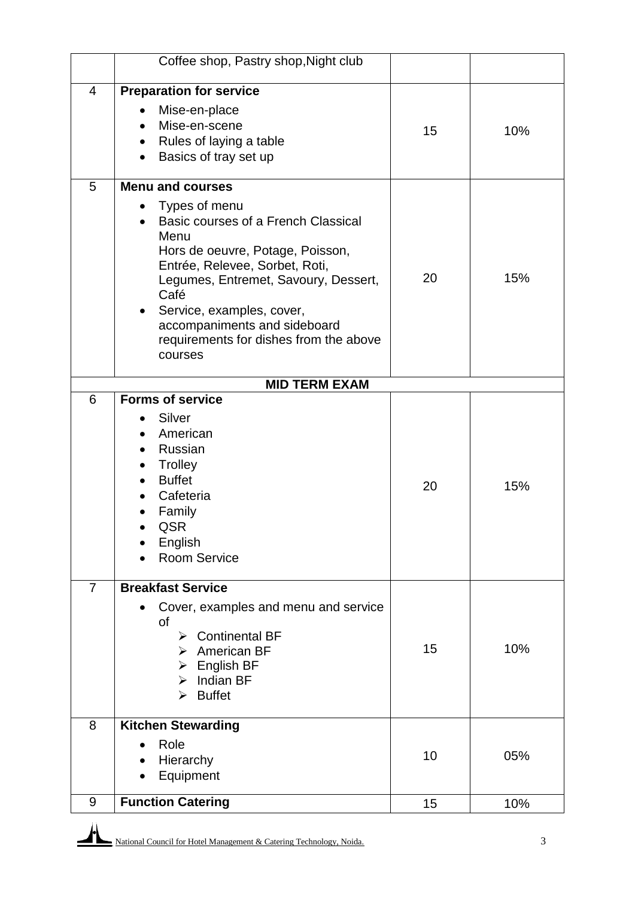|                | Coffee shop, Pastry shop, Night club                                                                                                                                                                                                                                                           |    |     |
|----------------|------------------------------------------------------------------------------------------------------------------------------------------------------------------------------------------------------------------------------------------------------------------------------------------------|----|-----|
| $\overline{4}$ | <b>Preparation for service</b>                                                                                                                                                                                                                                                                 |    |     |
|                | Mise-en-place<br>Mise-en-scene<br>Rules of laying a table                                                                                                                                                                                                                                      | 15 | 10% |
|                | Basics of tray set up                                                                                                                                                                                                                                                                          |    |     |
| 5              | <b>Menu and courses</b>                                                                                                                                                                                                                                                                        |    |     |
|                | Types of menu<br>Basic courses of a French Classical<br>Menu<br>Hors de oeuvre, Potage, Poisson,<br>Entrée, Relevee, Sorbet, Roti,<br>Legumes, Entremet, Savoury, Dessert,<br>Café<br>Service, examples, cover,<br>٠<br>accompaniments and sideboard<br>requirements for dishes from the above | 20 | 15% |
|                | courses                                                                                                                                                                                                                                                                                        |    |     |
|                | <b>MID TERM EXAM</b>                                                                                                                                                                                                                                                                           |    |     |
| 6              | <b>Forms of service</b>                                                                                                                                                                                                                                                                        |    |     |
|                | Silver<br>American<br>Russian<br>Trolley<br><b>Buffet</b><br>Cafeteria<br>Family<br>QSR<br>English<br><b>Room Service</b>                                                                                                                                                                      | 20 | 15% |
| $\overline{7}$ | <b>Breakfast Service</b>                                                                                                                                                                                                                                                                       |    |     |
|                | Cover, examples and menu and service<br>οf<br><b>Continental BF</b><br>⋗<br>$\triangleright$ American BF<br>English BF<br>$\triangleright$ Indian BF<br><b>Buffet</b><br>⋗                                                                                                                     | 15 | 10% |
| 8              | <b>Kitchen Stewarding</b>                                                                                                                                                                                                                                                                      |    |     |
|                | Role<br>Hierarchy<br>Equipment                                                                                                                                                                                                                                                                 | 10 | 05% |
| 9              | <b>Function Catering</b>                                                                                                                                                                                                                                                                       | 15 | 10% |

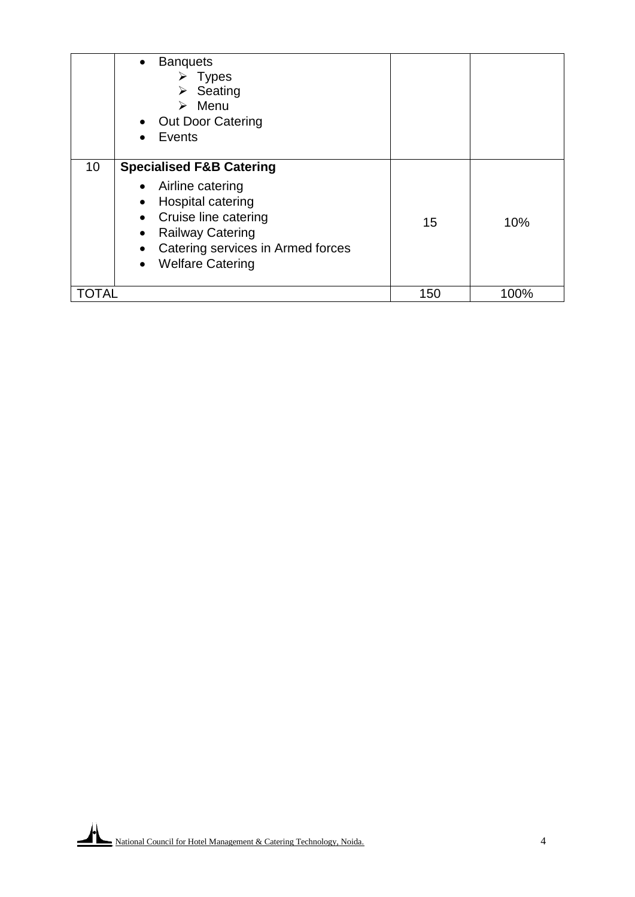|     | <b>Banquets</b><br>$\bullet$<br><b>Types</b><br>⋗<br>Seating<br>➤<br>Menu<br>➤<br>• Out Door Catering<br>Events                                                                                                                               |     |      |
|-----|-----------------------------------------------------------------------------------------------------------------------------------------------------------------------------------------------------------------------------------------------|-----|------|
| 10  | <b>Specialised F&amp;B Catering</b><br>Airline catering<br>$\bullet$<br>Hospital catering<br>$\bullet$<br><b>Cruise line catering</b><br><b>Railway Catering</b><br>Catering services in Armed forces<br>$\bullet$<br><b>Welfare Catering</b> | 15  | 10%  |
| TAL |                                                                                                                                                                                                                                               | 150 | 100% |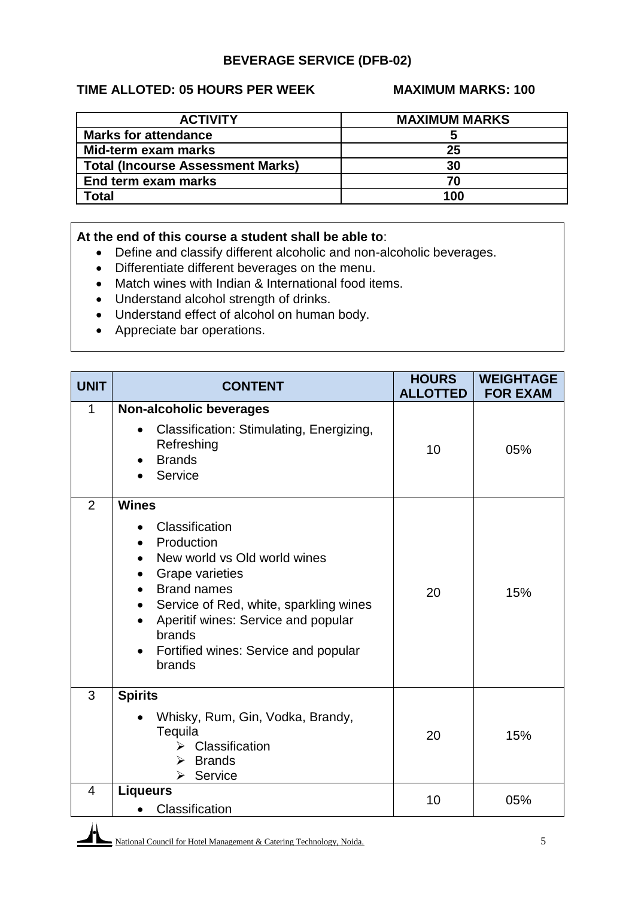## **BEVERAGE SERVICE (DFB-02)**

### **TIME ALLOTED: 05 HOURS PER WEEK MAXIMUM MARKS: 100**

| <b>ACTIVITY</b>                          | <b>MAXIMUM MARKS</b> |
|------------------------------------------|----------------------|
| <b>Marks for attendance</b>              |                      |
| Mid-term exam marks                      | 25                   |
| <b>Total (Incourse Assessment Marks)</b> | 30                   |
| End term exam marks                      | 70                   |
| Total                                    | 100                  |

#### **At the end of this course a student shall be able to**:

- Define and classify different alcoholic and non-alcoholic beverages.
- Differentiate different beverages on the menu.
- Match wines with Indian & International food items.
- Understand alcohol strength of drinks.
- Understand effect of alcohol on human body.
- Appreciate bar operations.

| <b>UNIT</b>    | <b>CONTENT</b>                                                                                                                                                                                                                                                                         | <b>HOURS</b><br><b>ALLOTTED</b> | <b>WEIGHTAGE</b><br><b>FOR EXAM</b> |
|----------------|----------------------------------------------------------------------------------------------------------------------------------------------------------------------------------------------------------------------------------------------------------------------------------------|---------------------------------|-------------------------------------|
| 1              | <b>Non-alcoholic beverages</b><br>Classification: Stimulating, Energizing,<br>$\bullet$<br>Refreshing<br><b>Brands</b><br>Service                                                                                                                                                      | 10                              | 05%                                 |
| $\overline{2}$ | <b>Wines</b><br>Classification<br>Production<br>New world vs Old world wines<br><b>Grape varieties</b><br><b>Brand names</b><br>Service of Red, white, sparkling wines<br>$\bullet$<br>Aperitif wines: Service and popular<br>brands<br>Fortified wines: Service and popular<br>brands | 20                              | 15%                                 |
| 3              | <b>Spirits</b><br>Whisky, Rum, Gin, Vodka, Brandy,<br>Tequila<br>Classification<br>↘<br>$\triangleright$ Brands<br>Service<br>➤                                                                                                                                                        | 20                              | 15%                                 |
| 4              | <b>Liqueurs</b><br>Classification<br>$\bullet$                                                                                                                                                                                                                                         | 10                              | 05%                                 |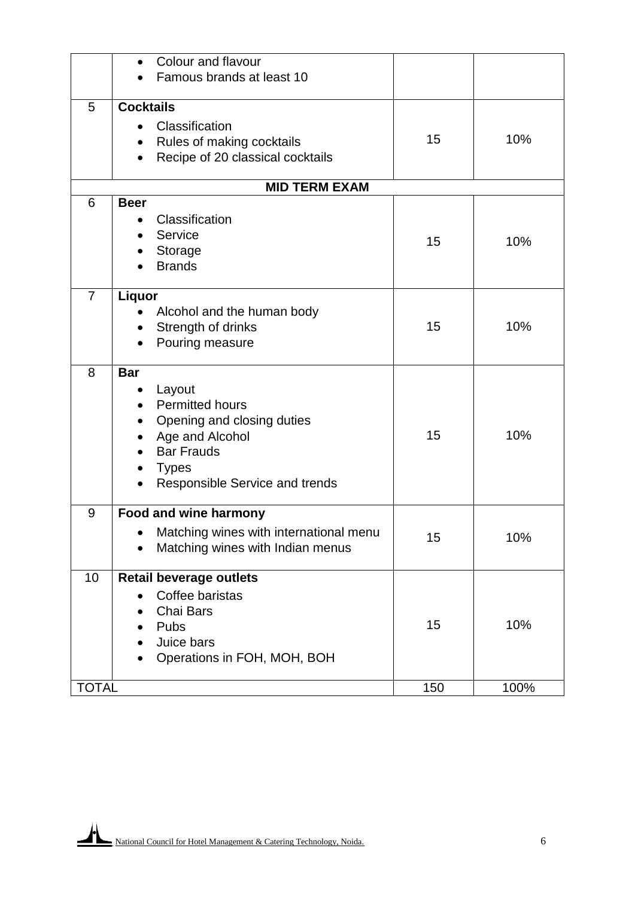|                | Colour and flavour                                                                      |     |      |
|----------------|-----------------------------------------------------------------------------------------|-----|------|
|                | Famous brands at least 10                                                               |     |      |
| 5              | <b>Cocktails</b>                                                                        |     |      |
|                | Classification                                                                          |     |      |
|                | $\bullet$                                                                               | 15  | 10%  |
|                | Rules of making cocktails<br>$\bullet$<br>Recipe of 20 classical cocktails<br>$\bullet$ |     |      |
|                |                                                                                         |     |      |
|                | <b>MID TERM EXAM</b>                                                                    |     |      |
| 6              | <b>Beer</b>                                                                             |     |      |
|                | Classification                                                                          |     |      |
|                | Service                                                                                 | 15  | 10%  |
|                | <b>Storage</b>                                                                          |     |      |
|                | <b>Brands</b>                                                                           |     |      |
| $\overline{7}$ | Liquor                                                                                  |     |      |
|                | Alcohol and the human body                                                              |     |      |
|                | Strength of drinks<br>$\bullet$                                                         | 15  | 10%  |
|                | Pouring measure                                                                         |     |      |
|                |                                                                                         |     |      |
| 8              | <b>Bar</b>                                                                              |     |      |
|                | Layout                                                                                  |     |      |
|                | <b>Permitted hours</b>                                                                  |     |      |
|                | Opening and closing duties                                                              |     |      |
|                | Age and Alcohol                                                                         | 15  | 10%  |
|                | <b>Bar Frauds</b>                                                                       |     |      |
|                | <b>Types</b>                                                                            |     |      |
|                | Responsible Service and trends                                                          |     |      |
| 9              | <b>Food and wine harmony</b>                                                            |     |      |
|                | Matching wines with international menu                                                  | 15  | 10%  |
|                | Matching wines with Indian menus                                                        |     |      |
|                |                                                                                         |     |      |
| 10             | <b>Retail beverage outlets</b>                                                          |     |      |
|                | Coffee baristas                                                                         |     |      |
|                | Chai Bars                                                                               |     |      |
|                | Pubs                                                                                    | 15  | 10%  |
|                | Juice bars                                                                              |     |      |
|                | Operations in FOH, MOH, BOH                                                             |     |      |
| <b>TOTAL</b>   |                                                                                         | 150 | 100% |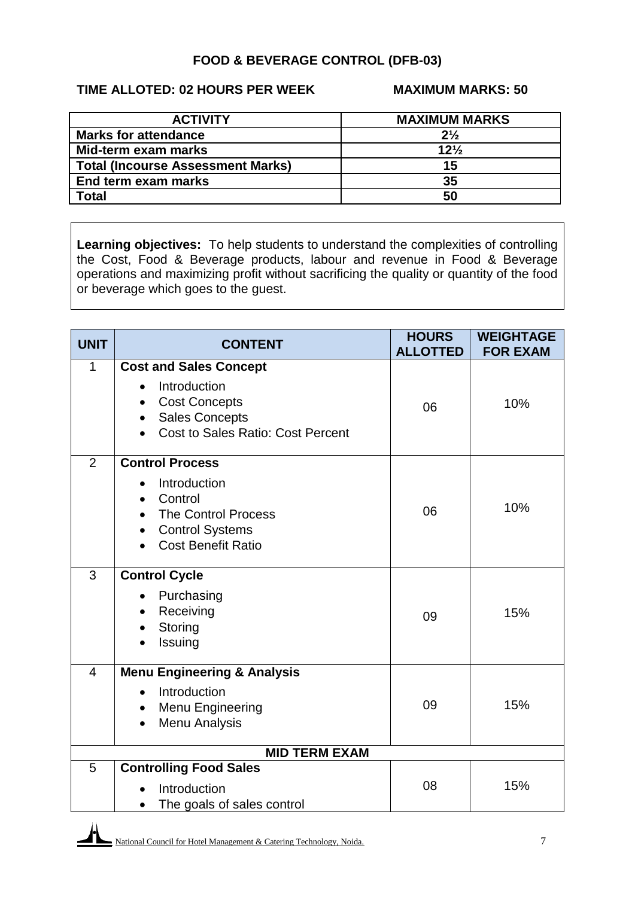## **FOOD & BEVERAGE CONTROL (DFB-03)**

## **TIME ALLOTED: 02 HOURS PER WEEK MAXIMUM MARKS: 50**

| <b>ACTIVITY</b>                          | <b>MAXIMUM MARKS</b> |
|------------------------------------------|----------------------|
| <b>Marks for attendance</b>              | $2\frac{1}{2}$       |
| Mid-term exam marks                      | $12\frac{1}{2}$      |
| <b>Total (Incourse Assessment Marks)</b> | 15                   |
| End term exam marks                      | 35                   |
| <b>Total</b>                             | 50                   |

**Learning objectives:** To help students to understand the complexities of controlling the Cost, Food & Beverage products, labour and revenue in Food & Beverage operations and maximizing profit without sacrificing the quality or quantity of the food or beverage which goes to the guest.

| <b>UNIT</b>    | <b>CONTENT</b>                                                                                                                                   | <b>HOURS</b><br><b>ALLOTTED</b> | <b>WEIGHTAGE</b><br><b>FOR EXAM</b> |  |
|----------------|--------------------------------------------------------------------------------------------------------------------------------------------------|---------------------------------|-------------------------------------|--|
| $\mathbf{1}$   | <b>Cost and Sales Concept</b><br>Introduction<br><b>Cost Concepts</b><br><b>Sales Concepts</b><br>$\bullet$<br>Cost to Sales Ratio: Cost Percent | 06                              | 10%                                 |  |
| $\overline{2}$ | <b>Control Process</b><br>Introduction<br>Control<br><b>The Control Process</b><br><b>Control Systems</b><br><b>Cost Benefit Ratio</b>           | 06                              | 10%                                 |  |
| 3              | <b>Control Cycle</b><br>Purchasing<br>Receiving<br>$\bullet$<br>Storing<br>Issuing                                                               | 09                              | 15%                                 |  |
| $\overline{4}$ | <b>Menu Engineering &amp; Analysis</b><br>Introduction<br>Menu Engineering<br>$\bullet$<br>Menu Analysis<br>$\bullet$                            | 09                              | 15%                                 |  |
|                | <b>MID TERM EXAM</b>                                                                                                                             |                                 |                                     |  |
| 5              | <b>Controlling Food Sales</b><br>Introduction<br>The goals of sales control                                                                      | 08                              | 15%                                 |  |

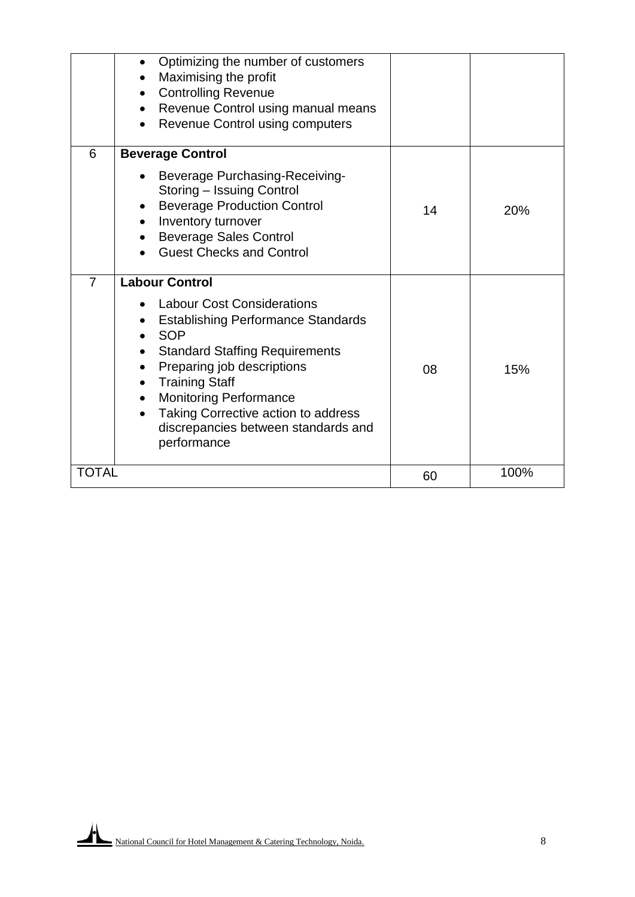|                | Optimizing the number of customers<br>Maximising the profit<br><b>Controlling Revenue</b><br>Revenue Control using manual means<br>$\bullet$<br><b>Revenue Control using computers</b>                                                                                                                                                              |    |      |
|----------------|-----------------------------------------------------------------------------------------------------------------------------------------------------------------------------------------------------------------------------------------------------------------------------------------------------------------------------------------------------|----|------|
| 6              | <b>Beverage Control</b><br><b>Beverage Purchasing-Receiving-</b><br>Storing - Issuing Control<br><b>Beverage Production Control</b><br>Inventory turnover<br><b>Beverage Sales Control</b><br><b>Guest Checks and Control</b>                                                                                                                       | 14 | 20%  |
| $\overline{7}$ | <b>Labour Control</b><br><b>Labour Cost Considerations</b><br><b>Establishing Performance Standards</b><br><b>SOP</b><br><b>Standard Staffing Requirements</b><br>Preparing job descriptions<br><b>Training Staff</b><br><b>Monitoring Performance</b><br>Taking Corrective action to address<br>discrepancies between standards and<br>performance | 08 | 15%  |
| <b>TOTAL</b>   |                                                                                                                                                                                                                                                                                                                                                     | 60 | 100% |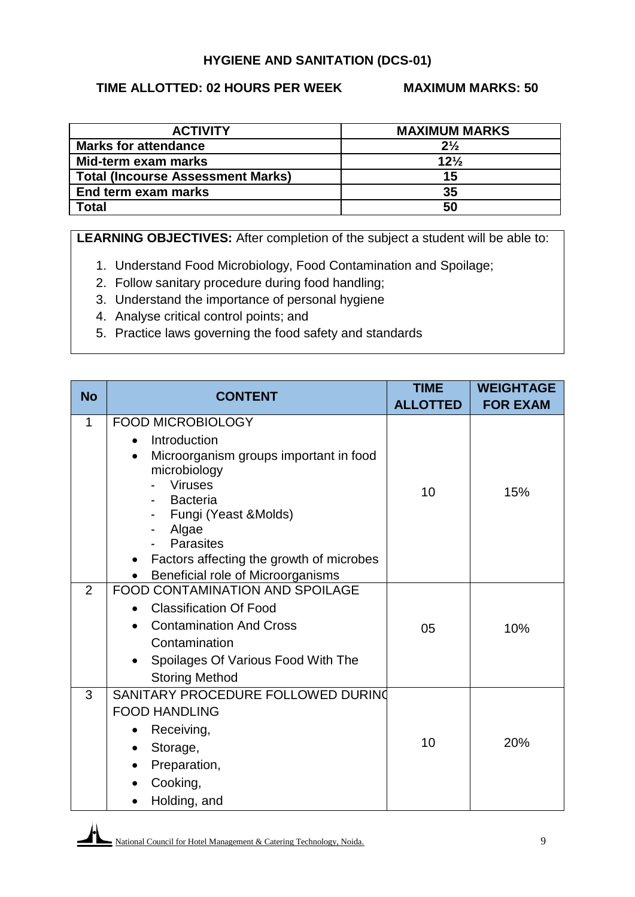#### **HYGIENE AND SANITATION (DCS-01)**

#### **TIME ALLOTTED: 02 HOURS PER WEEK MAXIMUM MARKS: 50**

| <b>ACTIVITY</b>                          | <b>MAXIMUM MARKS</b> |
|------------------------------------------|----------------------|
| <b>Marks for attendance</b>              | $2\frac{1}{2}$       |
| Mid-term exam marks                      | $12\frac{1}{2}$      |
| <b>Total (Incourse Assessment Marks)</b> | 15                   |
| End term exam marks                      | 35                   |
| Total                                    | 50                   |

**LEARNING OBJECTIVES:** After completion of the subject a student will be able to:

- 1. Understand Food Microbiology, Food Contamination and Spoilage;
- 2. Follow sanitary procedure during food handling;
- 3. Understand the importance of personal hygiene
- 4. Analyse critical control points; and
- 5. Practice laws governing the food safety and standards

| <b>No</b>      | <b>CONTENT</b>                                                                             | <b>TIME</b><br><b>ALLOTTED</b> | <b>WEIGHTAGE</b><br><b>FOR EXAM</b> |
|----------------|--------------------------------------------------------------------------------------------|--------------------------------|-------------------------------------|
| $\mathbf 1$    | <b>FOOD MICROBIOLOGY</b>                                                                   |                                |                                     |
|                | Introduction<br>$\bullet$                                                                  |                                |                                     |
|                | Microorganism groups important in food<br>$\bullet$                                        |                                |                                     |
|                | microbiology<br><b>Viruses</b>                                                             |                                |                                     |
|                | <b>Bacteria</b>                                                                            | 10                             | 15%                                 |
|                | Fungi (Yeast & Molds)                                                                      |                                |                                     |
|                | Algae                                                                                      |                                |                                     |
|                | <b>Parasites</b>                                                                           |                                |                                     |
|                | Factors affecting the growth of microbes<br>$\bullet$<br>Beneficial role of Microorganisms |                                |                                     |
| $\overline{2}$ | <b>FOOD CONTAMINATION AND SPOILAGE</b>                                                     |                                |                                     |
|                | <b>Classification Of Food</b>                                                              |                                |                                     |
|                | <b>Contamination And Cross</b>                                                             | 05                             | 10%                                 |
|                | Contamination                                                                              |                                |                                     |
|                | Spoilages Of Various Food With The                                                         |                                |                                     |
|                | <b>Storing Method</b>                                                                      |                                |                                     |
| 3              | SANITARY PROCEDURE FOLLOWED DURING                                                         |                                |                                     |
|                | <b>FOOD HANDLING</b>                                                                       |                                |                                     |
|                | Receiving,                                                                                 |                                |                                     |
|                | Storage,<br>٠                                                                              | 10                             | 20%                                 |
|                | Preparation,                                                                               |                                |                                     |
|                | Cooking,                                                                                   |                                |                                     |
|                | Holding, and                                                                               |                                |                                     |

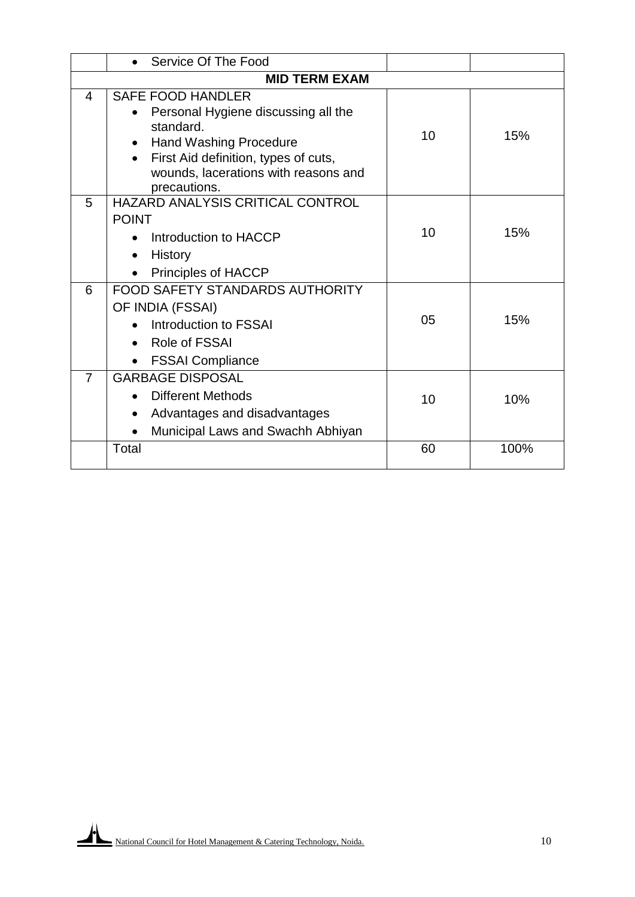|                | Service Of The Food                                                          |    |      |
|----------------|------------------------------------------------------------------------------|----|------|
|                | <b>MID TERM EXAM</b>                                                         |    |      |
| 4              | <b>SAFE FOOD HANDLER</b>                                                     |    |      |
|                | Personal Hygiene discussing all the                                          |    |      |
|                | standard.                                                                    | 10 | 15%  |
|                | <b>Hand Washing Procedure</b>                                                |    |      |
|                | First Aid definition, types of cuts,<br>wounds, lacerations with reasons and |    |      |
|                | precautions.                                                                 |    |      |
| 5              | HAZARD ANALYSIS CRITICAL CONTROL                                             |    |      |
|                | <b>POINT</b>                                                                 |    |      |
|                | Introduction to HACCP                                                        | 10 | 15%  |
|                | <b>History</b>                                                               |    |      |
|                | Principles of HACCP                                                          |    |      |
| 6              | <b>FOOD SAFETY STANDARDS AUTHORITY</b>                                       |    |      |
|                | OF INDIA (FSSAI)                                                             |    |      |
|                | Introduction to FSSAI                                                        | 05 | 15%  |
|                | Role of FSSAI                                                                |    |      |
|                | <b>FSSAI Compliance</b>                                                      |    |      |
| $\overline{7}$ | <b>GARBAGE DISPOSAL</b>                                                      |    |      |
|                | Different Methods                                                            | 10 | 10%  |
|                | Advantages and disadvantages<br>$\bullet$                                    |    |      |
|                | Municipal Laws and Swachh Abhiyan                                            |    |      |
|                | Total                                                                        | 60 | 100% |
|                |                                                                              |    |      |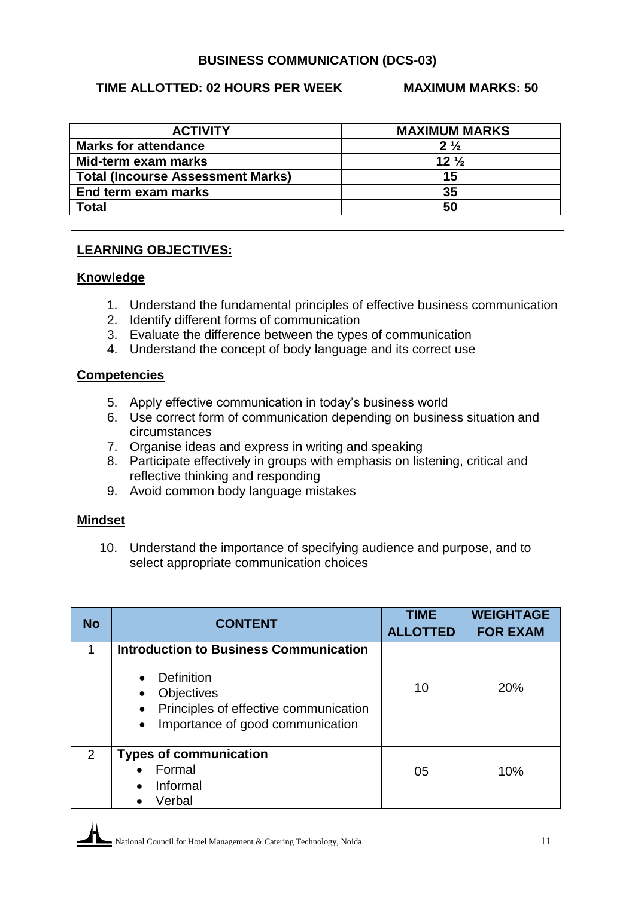#### **BUSINESS COMMUNICATION (DCS-03)**

#### **TIME ALLOTTED: 02 HOURS PER WEEK MAXIMUM MARKS: 50**

| <b>ACTIVITY</b>                          | <b>MAXIMUM MARKS</b> |
|------------------------------------------|----------------------|
| <b>Marks for attendance</b>              | $2\frac{1}{2}$       |
| Mid-term exam marks                      | $12\frac{1}{2}$      |
| <b>Total (Incourse Assessment Marks)</b> | 15                   |
| End term exam marks                      | 35                   |
| Total                                    | 50                   |

## **LEARNING OBJECTIVES:**

#### **Knowledge**

- 1. Understand the fundamental principles of effective business communication
- 2. Identify different forms of communication
- 3. Evaluate the difference between the types of communication
- 4. Understand the concept of body language and its correct use

#### **Competencies**

- 5. Apply effective communication in today's business world
- 6. Use correct form of communication depending on business situation and circumstances
- 7. Organise ideas and express in writing and speaking
- 8. Participate effectively in groups with emphasis on listening, critical and reflective thinking and responding
- 9. Avoid common body language mistakes

#### **Mindset**

10. Understand the importance of specifying audience and purpose, and to select appropriate communication choices

| <b>No</b> | <b>CONTENT</b>                                                                                        | <b>TIME</b><br><b>ALLOTTED</b> | <b>WEIGHTAGE</b><br><b>FOR EXAM</b> |
|-----------|-------------------------------------------------------------------------------------------------------|--------------------------------|-------------------------------------|
| 1         | <b>Introduction to Business Communication</b>                                                         |                                |                                     |
|           | Definition<br>Objectives<br>Principles of effective communication<br>Importance of good communication | 10                             | <b>20%</b>                          |
| 2         | <b>Types of communication</b>                                                                         |                                |                                     |
|           | Formal                                                                                                | 05                             | 10%                                 |
|           | Informal<br>$\bullet$                                                                                 |                                |                                     |
|           | Verbal<br>$\bullet$                                                                                   |                                |                                     |

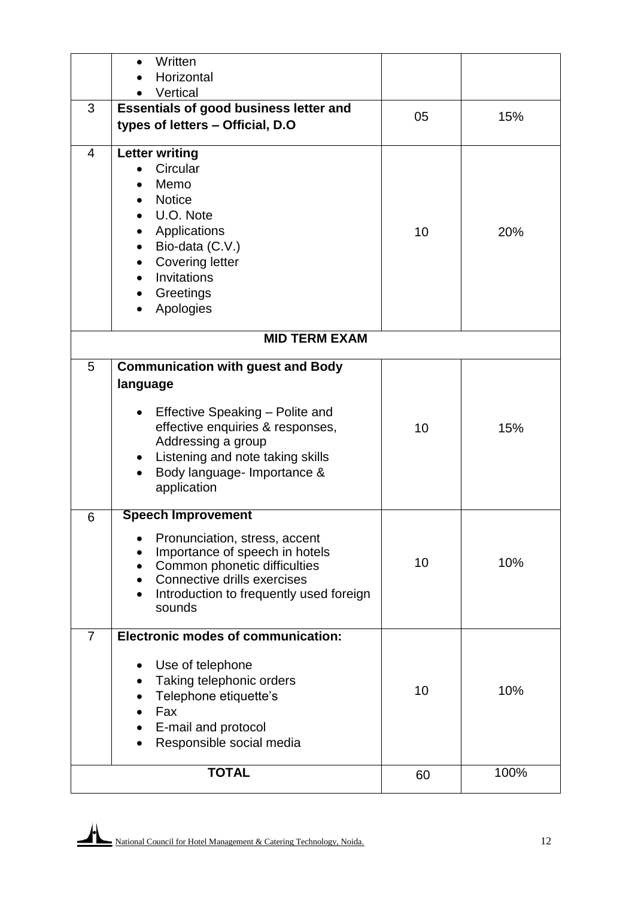|                | Written<br>$\bullet$                                            |    |      |
|----------------|-----------------------------------------------------------------|----|------|
|                | Horizontal                                                      |    |      |
|                | Vertical                                                        |    |      |
| 3              | <b>Essentials of good business letter and</b>                   | 05 | 15%  |
|                | types of letters - Official, D.O                                |    |      |
| 4              | <b>Letter writing</b>                                           |    |      |
|                | Circular                                                        |    |      |
|                | Memo                                                            |    |      |
|                | <b>Notice</b>                                                   |    |      |
|                | U.O. Note                                                       |    |      |
|                | Applications<br>$\bullet$                                       | 10 | 20%  |
|                | Bio-data (C.V.)<br>$\bullet$                                    |    |      |
|                | <b>Covering letter</b>                                          |    |      |
|                | Invitations                                                     |    |      |
|                | Greetings                                                       |    |      |
|                | Apologies                                                       |    |      |
|                | <b>MID TERM EXAM</b>                                            |    |      |
| 5              | <b>Communication with guest and Body</b>                        |    |      |
|                |                                                                 |    |      |
|                | language                                                        |    |      |
|                | Effective Speaking - Polite and<br>$\bullet$                    |    |      |
|                | effective enquiries & responses,                                | 10 | 15%  |
|                | Addressing a group                                              |    |      |
|                | Listening and note taking skills<br>$\bullet$                   |    |      |
|                | Body language- Importance &                                     |    |      |
|                | application                                                     |    |      |
| 6              | <b>Speech Improvement</b>                                       |    |      |
|                |                                                                 |    |      |
|                | Pronunciation, stress, accent<br>Importance of speech in hotels |    |      |
|                | Common phonetic difficulties                                    | 10 | 10%  |
|                | Connective drills exercises                                     |    |      |
|                | Introduction to frequently used foreign                         |    |      |
|                | sounds                                                          |    |      |
| $\overline{7}$ | <b>Electronic modes of communication:</b>                       |    |      |
|                |                                                                 |    |      |
|                | Use of telephone                                                |    |      |
|                | Taking telephonic orders                                        | 10 | 10%  |
|                | Telephone etiquette's                                           |    |      |
|                | Fax                                                             |    |      |
|                | E-mail and protocol                                             |    |      |
|                | Responsible social media                                        |    |      |
|                | <b>TOTAL</b>                                                    | 60 | 100% |
|                |                                                                 |    |      |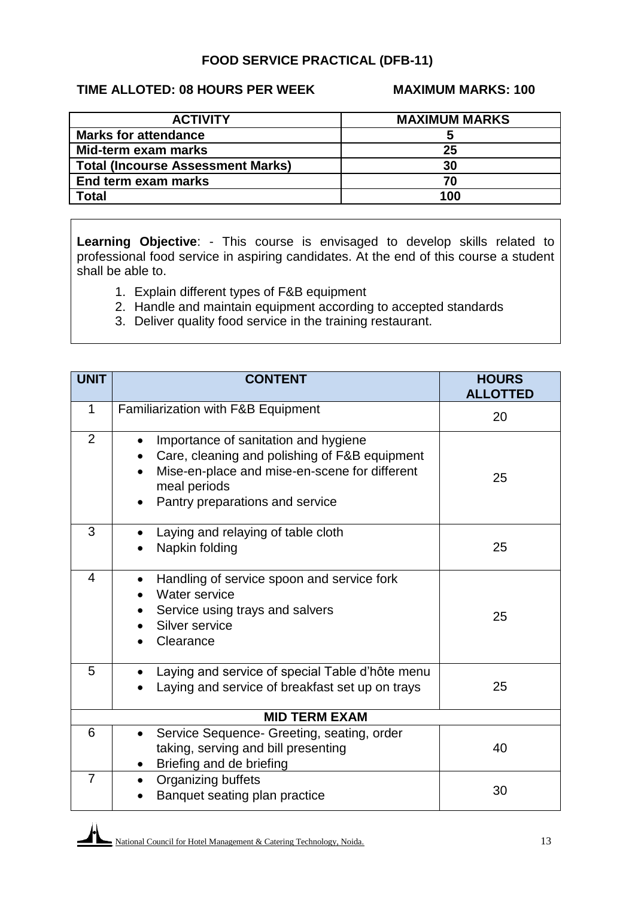## **FOOD SERVICE PRACTICAL (DFB-11)**

## **TIME ALLOTED: 08 HOURS PER WEEK MAXIMUM MARKS: 100**

| <b>ACTIVITY</b>                          | <b>MAXIMUM MARKS</b> |
|------------------------------------------|----------------------|
| <b>Marks for attendance</b>              |                      |
| Mid-term exam marks                      | 25                   |
| <b>Total (Incourse Assessment Marks)</b> | 30                   |
| End term exam marks                      | 70                   |
| <b>Total</b>                             | 100                  |

**Learning Objective**: - This course is envisaged to develop skills related to professional food service in aspiring candidates. At the end of this course a student shall be able to.

- 1. Explain different types of F&B equipment
- 2. Handle and maintain equipment according to accepted standards
- 3. Deliver quality food service in the training restaurant.

| <b>UNIT</b>             | <b>CONTENT</b>                                                                                                                                                                                         | <b>HOURS</b><br><b>ALLOTTED</b> |
|-------------------------|--------------------------------------------------------------------------------------------------------------------------------------------------------------------------------------------------------|---------------------------------|
| $\mathbf{1}$            | Familiarization with F&B Equipment                                                                                                                                                                     | 20                              |
| $\overline{2}$          | Importance of sanitation and hygiene<br>Care, cleaning and polishing of F&B equipment<br>Mise-en-place and mise-en-scene for different<br>meal periods<br>Pantry preparations and service<br>$\bullet$ | 25                              |
| 3                       | Laying and relaying of table cloth<br>Napkin folding                                                                                                                                                   | 25                              |
| $\overline{\mathbf{4}}$ | Handling of service spoon and service fork<br>Water service<br>Service using trays and salvers<br>Silver service<br>Clearance                                                                          | 25                              |
| 5                       | Laying and service of special Table d'hôte menu<br>Laying and service of breakfast set up on trays                                                                                                     | 25                              |
| <b>MID TERM EXAM</b>    |                                                                                                                                                                                                        |                                 |
| 6                       | Service Sequence- Greeting, seating, order<br>$\bullet$<br>taking, serving and bill presenting<br>Briefing and de briefing                                                                             | 40                              |
| $\overline{7}$          | Organizing buffets<br>Banquet seating plan practice                                                                                                                                                    | 30                              |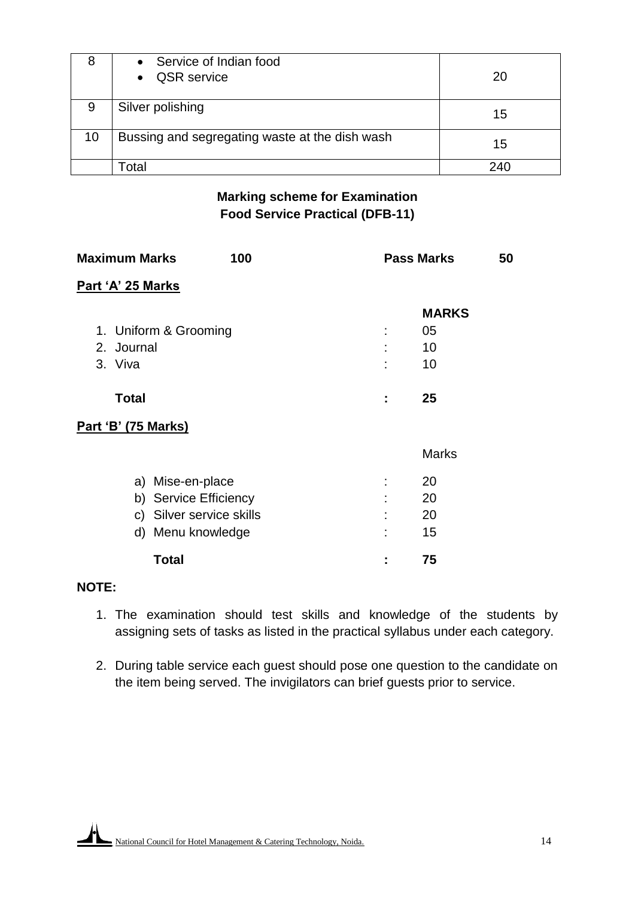| 8  | Service of Indian food<br>$\bullet$<br><b>QSR</b> service<br>$\bullet$ | 20 |
|----|------------------------------------------------------------------------|----|
| 9  | Silver polishing                                                       | 15 |
| 10 | Bussing and segregating waste at the dish wash                         | 15 |
|    | `otal                                                                  |    |

## **Marking scheme for Examination Food Service Practical (DFB-11)**

| <b>Maximum Marks</b>       | 100                      |   | <b>Pass Marks</b> | 50 |
|----------------------------|--------------------------|---|-------------------|----|
| Part 'A' 25 Marks          |                          |   |                   |    |
|                            |                          |   | <b>MARKS</b>      |    |
| 1. Uniform & Grooming      |                          | t | 05                |    |
| 2. Journal                 |                          |   | 10                |    |
| 3. Viva                    |                          |   | 10                |    |
| <b>Total</b>               |                          | t | 25                |    |
| <b>Part 'B' (75 Marks)</b> |                          |   |                   |    |
|                            |                          |   | <b>Marks</b>      |    |
| a) Mise-en-place           |                          |   | 20                |    |
| b) Service Efficiency      |                          |   | 20                |    |
|                            | c) Silver service skills |   | 20                |    |
| d) Menu knowledge          |                          | ٠ | 15                |    |
| <b>Total</b>               |                          | I | 75                |    |

# **NOTE:**

- 1. The examination should test skills and knowledge of the students by assigning sets of tasks as listed in the practical syllabus under each category.
- 2. During table service each guest should pose one question to the candidate on the item being served. The invigilators can brief guests prior to service.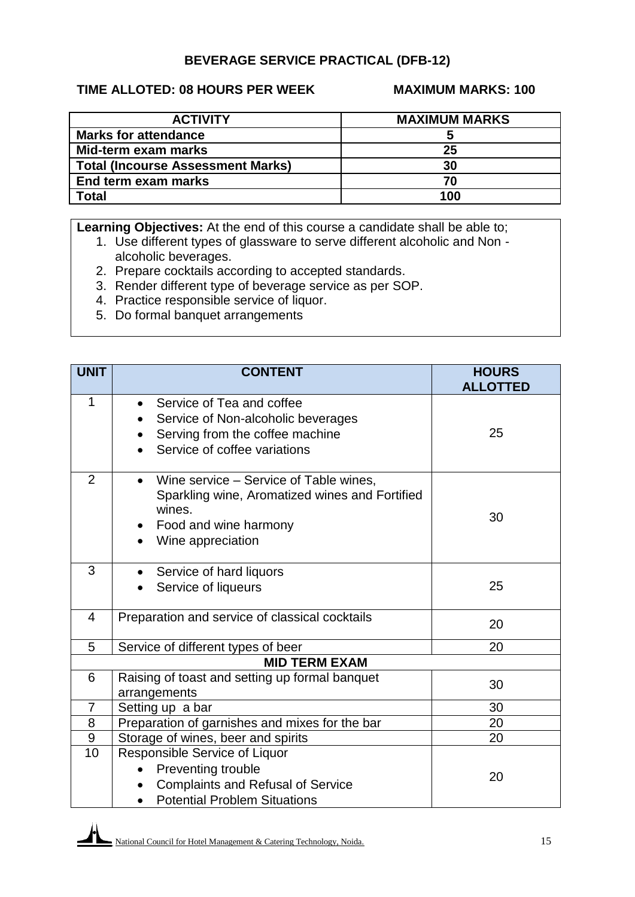## **BEVERAGE SERVICE PRACTICAL (DFB-12)**

## **TIME ALLOTED: 08 HOURS PER WEEK MAXIMUM MARKS: 100**

| <b>ACTIVITY</b>                          | <b>MAXIMUM MARKS</b> |
|------------------------------------------|----------------------|
| <b>Marks for attendance</b>              |                      |
| Mid-term exam marks                      | 25                   |
| <b>Total (Incourse Assessment Marks)</b> | 30                   |
| End term exam marks                      | 70                   |
| Total                                    | 100                  |

**Learning Objectives:** At the end of this course a candidate shall be able to;

- 1. Use different types of glassware to serve different alcoholic and Non alcoholic beverages.
- 2. Prepare cocktails according to accepted standards.
- 3. Render different type of beverage service as per SOP.
- 4. Practice responsible service of liquor.
- 5. Do formal banquet arrangements

| <b>UNIT</b>    | <b>CONTENT</b>                                                                                                                                   | <b>HOURS</b><br><b>ALLOTTED</b> |
|----------------|--------------------------------------------------------------------------------------------------------------------------------------------------|---------------------------------|
| 1              | Service of Tea and coffee<br>Service of Non-alcoholic beverages<br>Serving from the coffee machine<br>Service of coffee variations               | 25                              |
| $\overline{2}$ | Wine service - Service of Table wines,<br>Sparkling wine, Aromatized wines and Fortified<br>wines.<br>Food and wine harmony<br>Wine appreciation | 30                              |
| 3              | Service of hard liquors<br>Service of liqueurs                                                                                                   | 25                              |
| $\overline{4}$ | Preparation and service of classical cocktails                                                                                                   | 20                              |
| 5              | Service of different types of beer                                                                                                               | 20                              |
|                | <b>MID TERM EXAM</b>                                                                                                                             |                                 |
| 6              | Raising of toast and setting up formal banquet<br>arrangements                                                                                   | 30                              |
| 7              | Setting up a bar                                                                                                                                 | 30                              |
| 8              | Preparation of garnishes and mixes for the bar                                                                                                   | 20                              |
| 9              | Storage of wines, beer and spirits                                                                                                               | 20                              |
| 10             | Responsible Service of Liquor<br>Preventing trouble<br><b>Complaints and Refusal of Service</b><br><b>Potential Problem Situations</b>           | 20                              |

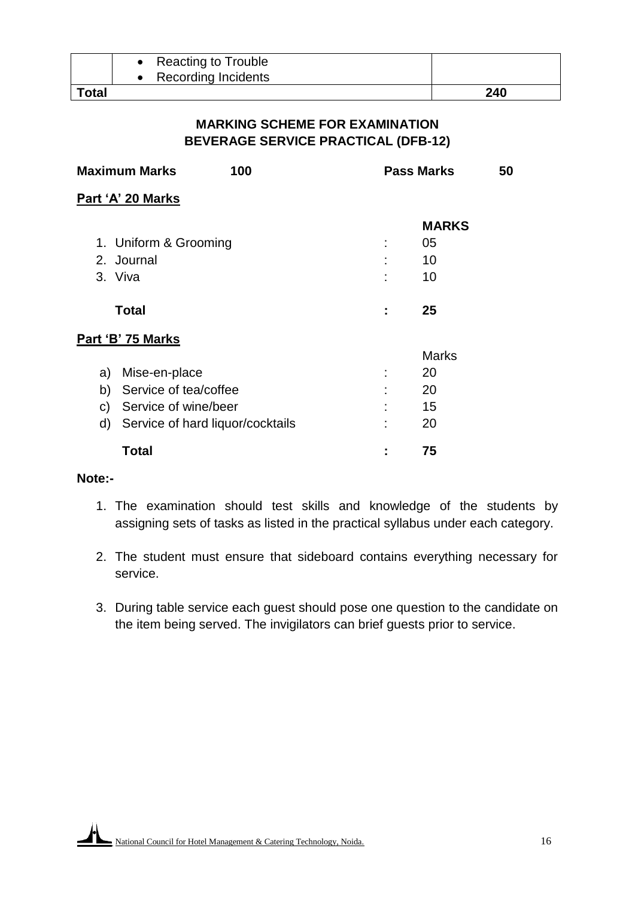|       | <b>Reacting to Trouble</b> |     |
|-------|----------------------------|-----|
|       | Recording Incidents        |     |
| Total |                            | 240 |

## **MARKING SCHEME FOR EXAMINATION BEVERAGE SERVICE PRACTICAL (DFB-12)**

|    | <b>Maximum Marks</b><br>100      |   | <b>Pass Marks</b><br>50 |
|----|----------------------------------|---|-------------------------|
|    | Part 'A' 20 Marks                |   |                         |
|    |                                  |   | <b>MARKS</b>            |
|    | 1. Uniform & Grooming            | ÷ | 05                      |
|    | 2. Journal                       |   | 10                      |
|    | 3. Viva                          | ٠ | 10                      |
|    | <b>Total</b>                     | ÷ | 25                      |
|    | Part 'B' 75 Marks                |   |                         |
|    |                                  |   | <b>Marks</b>            |
| a) | Mise-en-place                    | ÷ | 20                      |
| b) | Service of tea/coffee            |   | 20                      |
| C) | Service of wine/beer             |   | 15                      |
| d) | Service of hard liquor/cocktails |   | 20                      |
|    | <b>Total</b>                     |   | 75                      |

#### **Note:-**

- 1. The examination should test skills and knowledge of the students by assigning sets of tasks as listed in the practical syllabus under each category.
- 2. The student must ensure that sideboard contains everything necessary for service.
- 3. During table service each guest should pose one question to the candidate on the item being served. The invigilators can brief guests prior to service.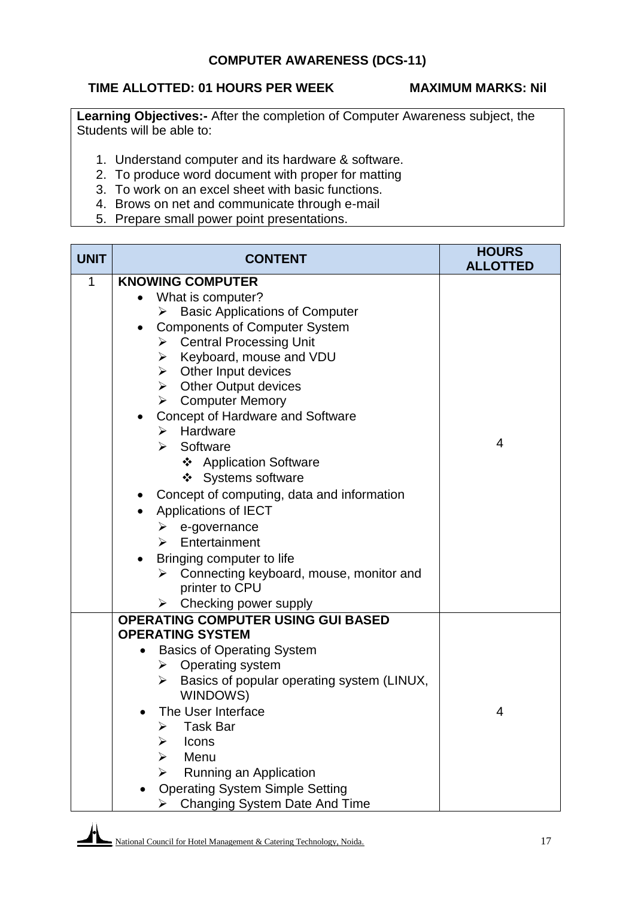# **TIME ALLOTTED: 01 HOURS PER WEEK MAXIMUM MARKS: Nil**

**Learning Objectives:-** After the completion of Computer Awareness subject, the Students will be able to:

- 1. Understand computer and its hardware & software.
- 2. To produce word document with proper for matting
- 3. To work on an excel sheet with basic functions.
- 4. Brows on net and communicate through e-mail
- 5. Prepare small power point presentations.

| <b>UNIT</b> | <b>CONTENT</b>                                              | <b>HOURS</b><br><b>ALLOTTED</b> |
|-------------|-------------------------------------------------------------|---------------------------------|
| 1           | <b>KNOWING COMPUTER</b>                                     |                                 |
|             | What is computer?<br>$\bullet$                              |                                 |
|             | <b>Basic Applications of Computer</b><br>➤                  |                                 |
|             | <b>Components of Computer System</b><br>$\bullet$           |                                 |
|             | <b>Central Processing Unit</b><br>$\triangleright$          |                                 |
|             | Keyboard, mouse and VDU<br>➤                                |                                 |
|             | $\triangleright$ Other Input devices                        |                                 |
|             | $\triangleright$ Other Output devices                       |                                 |
|             | $\triangleright$ Computer Memory                            |                                 |
|             | Concept of Hardware and Software<br>Hardware<br>⋗           |                                 |
|             | Software<br>➤                                               | 4                               |
|             | ❖ Application Software                                      |                                 |
|             | ❖ Systems software                                          |                                 |
|             |                                                             |                                 |
|             | Concept of computing, data and information                  |                                 |
|             | Applications of IECT                                        |                                 |
|             | e-governance<br>➤<br>Entertainment<br>$\triangleright$      |                                 |
|             |                                                             |                                 |
|             | Bringing computer to life<br>➤                              |                                 |
|             | Connecting keyboard, mouse, monitor and<br>printer to CPU   |                                 |
|             | Checking power supply<br>➤                                  |                                 |
|             | <b>OPERATING COMPUTER USING GUI BASED</b>                   |                                 |
|             | <b>OPERATING SYSTEM</b>                                     |                                 |
|             | <b>Basics of Operating System</b>                           |                                 |
|             | Operating system<br>≻                                       |                                 |
|             | Basics of popular operating system (LINUX,<br>➤<br>WINDOWS) |                                 |
|             | The User Interface                                          | 4                               |
|             | Task Bar                                                    |                                 |
|             | Icons                                                       |                                 |
|             | Menu                                                        |                                 |
|             | Running an Application                                      |                                 |
|             | <b>Operating System Simple Setting</b>                      |                                 |
|             | <b>Changing System Date And Time</b>                        |                                 |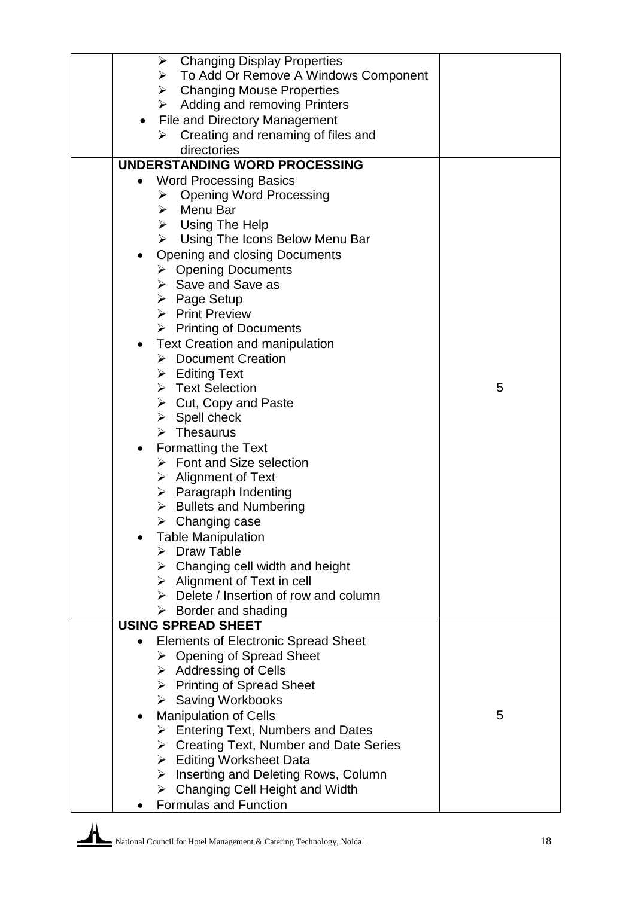|           | <b>Changing Display Properties</b><br>➤                |   |
|-----------|--------------------------------------------------------|---|
|           | > To Add Or Remove A Windows Component                 |   |
|           | $\triangleright$ Changing Mouse Properties             |   |
|           | Adding and removing Printers<br>➤                      |   |
|           |                                                        |   |
| $\bullet$ | File and Directory Management                          |   |
|           | Creating and renaming of files and                     |   |
|           | directories                                            |   |
|           | <b>UNDERSTANDING WORD PROCESSING</b>                   |   |
|           | <b>Word Processing Basics</b>                          |   |
|           | <b>Opening Word Processing</b><br>➤                    |   |
|           | $\triangleright$ Menu Bar                              |   |
|           | $\triangleright$ Using The Help                        |   |
|           | Using The Icons Below Menu Bar<br>≻                    |   |
|           | <b>Opening and closing Documents</b>                   |   |
|           | $\triangleright$ Opening Documents                     |   |
|           | $\triangleright$ Save and Save as                      |   |
|           | $\triangleright$ Page Setup                            |   |
|           | $\triangleright$ Print Preview                         |   |
|           | $\triangleright$ Printing of Documents                 |   |
|           |                                                        |   |
| $\bullet$ | <b>Text Creation and manipulation</b>                  |   |
|           | > Document Creation                                    |   |
|           | $\triangleright$ Editing Text                          |   |
|           | > Text Selection                                       | 5 |
|           | $\triangleright$ Cut, Copy and Paste                   |   |
|           | $\triangleright$ Spell check                           |   |
|           | $\triangleright$ Thesaurus                             |   |
|           | <b>Formatting the Text</b>                             |   |
|           | $\triangleright$ Font and Size selection               |   |
|           | $\triangleright$ Alignment of Text                     |   |
|           | $\triangleright$ Paragraph Indenting                   |   |
|           | > Bullets and Numbering                                |   |
|           | $\triangleright$ Changing case                         |   |
|           | <b>Table Manipulation</b>                              |   |
|           | Draw Table                                             |   |
|           | $\triangleright$ Changing cell width and height        |   |
|           | $\triangleright$ Alignment of Text in cell             |   |
|           | $\triangleright$ Delete / Insertion of row and column  |   |
|           | $\triangleright$ Border and shading                    |   |
|           | <b>USING SPREAD SHEET</b>                              |   |
|           | <b>Elements of Electronic Spread Sheet</b>             |   |
|           | ▶ Opening of Spread Sheet                              |   |
|           |                                                        |   |
|           | $\triangleright$ Addressing of Cells                   |   |
|           | $\triangleright$ Printing of Spread Sheet              |   |
|           | ▶ Saving Workbooks                                     |   |
| ٠         | <b>Manipulation of Cells</b>                           | 5 |
|           | $\triangleright$ Entering Text, Numbers and Dates      |   |
|           | $\triangleright$ Creating Text, Number and Date Series |   |
|           | $\triangleright$ Editing Worksheet Data                |   |
|           | $\triangleright$ Inserting and Deleting Rows, Column   |   |
|           | <b>Changing Cell Height and Width</b><br>➤             |   |
|           | <b>Formulas and Function</b>                           |   |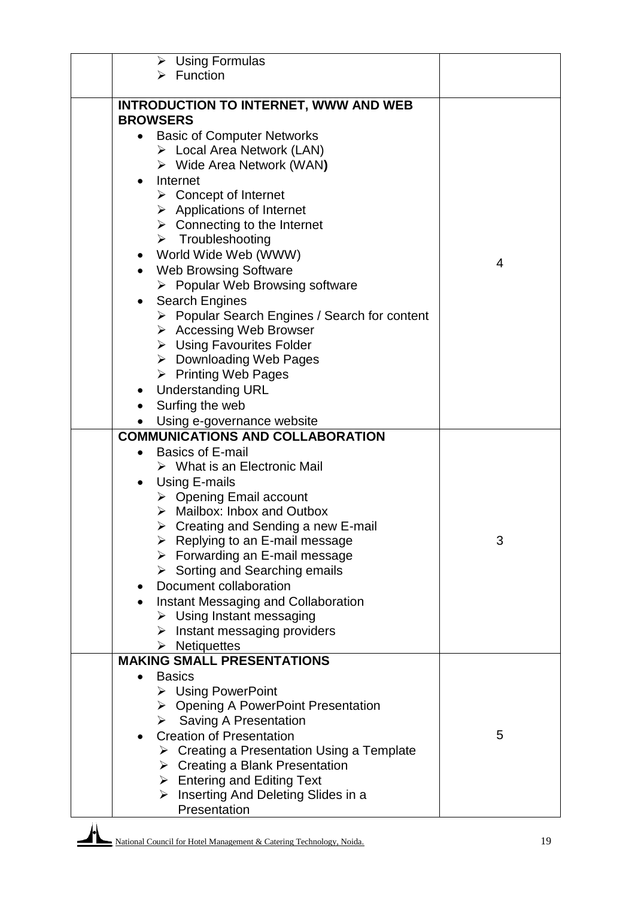| $\triangleright$ Using Formulas                           |   |
|-----------------------------------------------------------|---|
| $\triangleright$ Function                                 |   |
|                                                           |   |
| <b>INTRODUCTION TO INTERNET, WWW AND WEB</b>              |   |
| <b>BROWSERS</b>                                           |   |
| <b>Basic of Computer Networks</b>                         |   |
| > Local Area Network (LAN)                                |   |
| $\triangleright$ Wide Area Network (WAN)                  |   |
| Internet                                                  |   |
| $\triangleright$ Concept of Internet                      |   |
| $\triangleright$ Applications of Internet                 |   |
| $\triangleright$ Connecting to the Internet               |   |
| $\triangleright$ Troubleshooting                          |   |
| World Wide Web (WWW)<br>$\bullet$                         | 4 |
| <b>Web Browsing Software</b>                              |   |
| $\triangleright$ Popular Web Browsing software            |   |
| <b>Search Engines</b><br>$\bullet$                        |   |
| ▶ Popular Search Engines / Search for content             |   |
| $\triangleright$ Accessing Web Browser                    |   |
| > Using Favourites Folder                                 |   |
| $\triangleright$ Downloading Web Pages                    |   |
| $\triangleright$ Printing Web Pages                       |   |
| <b>Understanding URL</b>                                  |   |
| Surfing the web                                           |   |
| Using e-governance website                                |   |
| <b>COMMUNICATIONS AND COLLABORATION</b>                   |   |
| <b>Basics of E-mail</b><br>$\bullet$                      |   |
| $\triangleright$ What is an Electronic Mail               |   |
| Using E-mails<br>$\bullet$                                |   |
| $\triangleright$ Opening Email account                    |   |
| $\triangleright$ Mailbox: Inbox and Outbox                |   |
| $\triangleright$ Creating and Sending a new E-mail        |   |
| $\triangleright$ Replying to an E-mail message            | 3 |
| $\triangleright$ Forwarding an E-mail message             |   |
| $\triangleright$ Sorting and Searching emails             |   |
| Document collaboration<br>٠                               |   |
| Instant Messaging and Collaboration                       |   |
| $\triangleright$ Using Instant messaging                  |   |
| $\triangleright$ Instant messaging providers              |   |
| $\triangleright$ Netiquettes                              |   |
| <b>MAKING SMALL PRESENTATIONS</b>                         |   |
| <b>Basics</b><br>$\bullet$                                |   |
| $\triangleright$ Using PowerPoint                         |   |
| $\triangleright$ Opening A PowerPoint Presentation        |   |
| $\triangleright$ Saving A Presentation                    |   |
| <b>Creation of Presentation</b><br>$\bullet$              | 5 |
| $\triangleright$ Creating a Presentation Using a Template |   |
| $\triangleright$ Creating a Blank Presentation            |   |
| $\triangleright$ Entering and Editing Text                |   |
| Inserting And Deleting Slides in a<br>➤                   |   |
| Presentation                                              |   |